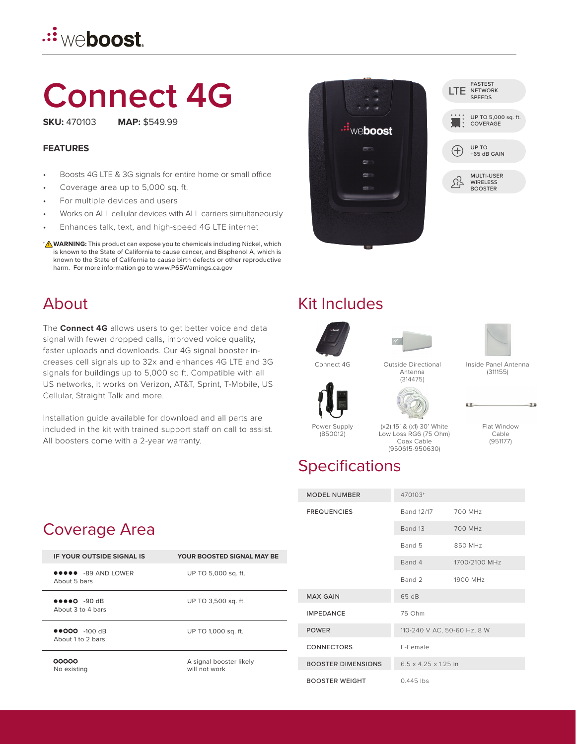# .:┋<sub>W∈</sub>boost.

# **Connect 4G**

**SKU:** 470103 **MAP:** \$549.99

#### **FEATURES**

- Boosts 4G LTE & 3G signals for entire home or small office
- Coverage area up to 5,000 sq. ft.
- For multiple devices and users
- Works on ALL cellular devices with ALL carriers simultaneously
- Enhances talk, text, and high-speed 4G LTE internet
- **WARNING:** This product can expose you to chemicals including Nickel, which † **!**is known to the State of California to cause cancer, and Bisphenol A, which is known to the State of California to cause birth defects or other reproductive harm. For more information go to www.P65Warnings.ca.gov

#### About

The **Connect 4G** allows users to get better voice and data signal with fewer dropped calls, improved voice quality, faster uploads and downloads. Our 4G signal booster increases cell signals up to 32x and enhances 4G LTE and 3G signals for buildings up to 5,000 sq ft. Compatible with all US networks, it works on Verizon, AT&T, Sprint, T-Mobile, US Cellular, Straight Talk and more.

Installation guide available for download and all parts are included in the kit with trained support staff on call to assist. All boosters come with a 2-year warranty.



| <b>FASTEST</b><br>LTE NETWORK<br><b>SPEEDS</b>         |
|--------------------------------------------------------|
| UP TO 5,000 sq. ft.<br>UP TO 5,00                      |
| UP TO<br>$+65$ dB GAIN                                 |
| <b>MULTI-USER</b><br><b>WIRELESS</b><br><b>BOOSTER</b> |
|                                                        |

### Kit Includes







Inside Panel Antenna (311155)



Connect 4G Outside Directional Antenna (314475)



Flat Window Cable (951177)

温度

#### Power Supply (850012)

(x2) 15' & (x1) 30' White Low Loss RG6 (75 Ohm) Coax Cable (950615-950630)

470103<sup>†</sup>

### **Specifications**

| <b>MODEL NUMBER</b>       | 470103+                          |               |
|---------------------------|----------------------------------|---------------|
| <b>FREQUENCIES</b>        | Band 12/17                       | 700 MHz       |
|                           | Band 13                          | 700 MHz       |
|                           | Band 5                           | 850 MHz       |
|                           | Band 4                           | 1700/2100 MHz |
|                           | Band 2                           | 1900 MHz      |
| <b>MAX GAIN</b>           | 65 dB                            |               |
| <b>IMPEDANCE</b>          | 75 Ohm                           |               |
| <b>POWER</b>              | 110-240 V AC, 50-60 Hz, 8 W      |               |
| <b>CONNECTORS</b>         | F-Female                         |               |
| <b>BOOSTER DIMENSIONS</b> | $6.5 \times 4.25 \times 1.25$ in |               |
| <b>BOOSTER WEIGHT</b>     | $0.445$ lbs                      |               |

### Coverage Area

| <b>IF YOUR OUTSIDE SIGNAL IS</b>           | <b>YOUR BOOSTED SIGNAL MAY BE</b>        |  |
|--------------------------------------------|------------------------------------------|--|
| <b>@@@@@</b> -89 AND LOWER<br>About 5 bars | UP TO 5,000 sq. ft.                      |  |
| About 3 to 4 bars                          | UP TO 3,500 sq. ft.                      |  |
| $0.000 - 100$ dR<br>About 1 to 2 bars      | UP TO 1,000 sq. ft.                      |  |
| 00000<br>No existing                       | A signal booster likely<br>will not work |  |